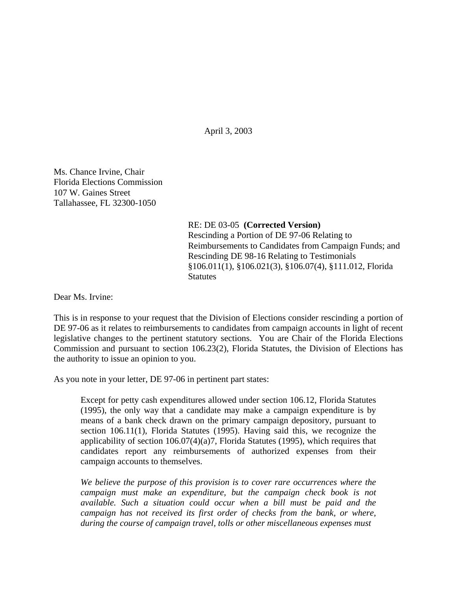April 3, 2003

Ms. Chance Irvine, Chair Florida Elections Commission 107 W. Gaines Street Tallahassee, FL 32300-1050

> RE: DE 03-05 **(Corrected Version)** Rescinding a Portion of DE 97-06 Relating to Reimbursements to Candidates from Campaign Funds; and Rescinding DE 98-16 Relating to Testimonials §106.011(1), §106.021(3), §106.07(4), §111.012, Florida **Statutes**

Dear Ms. Irvine:

This is in response to your request that the Division of Elections consider rescinding a portion of DE 97-06 as it relates to reimbursements to candidates from campaign accounts in light of recent legislative changes to the pertinent statutory sections. You are Chair of the Florida Elections Commission and pursuant to section 106.23(2), Florida Statutes, the Division of Elections has the authority to issue an opinion to you.

As you note in your letter, DE 97-06 in pertinent part states:

Except for petty cash expenditures allowed under section 106.12, Florida Statutes (1995), the only way that a candidate may make a campaign expenditure is by means of a bank check drawn on the primary campaign depository, pursuant to section 106.11(1), Florida Statutes (1995). Having said this, we recognize the applicability of section 106.07(4)(a)7, Florida Statutes (1995), which requires that candidates report any reimbursements of authorized expenses from their campaign accounts to themselves.

*We believe the purpose of this provision is to cover rare occurrences where the campaign must make an expenditure, but the campaign check book is not available. Such a situation could occur when a bill must be paid and the campaign has not received its first order of checks from the bank, or where, during the course of campaign travel, tolls or other miscellaneous expenses must*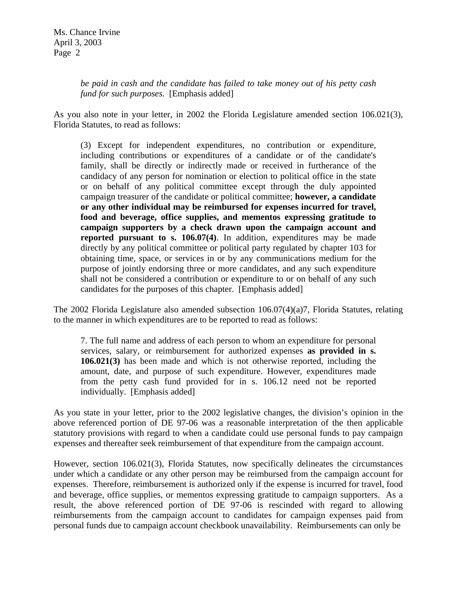*be paid in cash and the candidate has failed to take money out of his petty cash fund for such purposes.* [Emphasis added]

As you also note in your letter, in 2002 the Florida Legislature amended section 106.021(3), Florida Statutes, to read as follows:

(3) Except for independent expenditures, no contribution or expenditure, including contributions or expenditures of a candidate or of the candidate's family, shall be directly or indirectly made or received in furtherance of the candidacy of any person for nomination or election to political office in the state or on behalf of any political committee except through the duly appointed campaign treasurer of the candidate or political committee; **however, a candidate or any other individual may be reimbursed for expenses incurred for travel, food and beverage, office supplies, and mementos expressing gratitude to campaign supporters by a check drawn upon the campaign account and reported pursuant to s. 106.07(4)**. In addition, expenditures may be made directly by any political committee or political party regulated by chapter 103 for obtaining time, space, or services in or by any communications medium for the purpose of jointly endorsing three or more candidates, and any such expenditure shall not be considered a contribution or expenditure to or on behalf of any such candidates for the purposes of this chapter. [Emphasis added]

The 2002 Florida Legislature also amended subsection 106.07(4)(a)7, Florida Statutes, relating to the manner in which expenditures are to be reported to read as follows:

7. The full name and address of each person to whom an expenditure for personal services, salary, or reimbursement for authorized expenses **as provided in s. 106.021(3)** has been made and which is not otherwise reported, including the amount, date, and purpose of such expenditure. However, expenditures made from the petty cash fund provided for in s. 106.12 need not be reported individually. [Emphasis added]

As you state in your letter, prior to the 2002 legislative changes, the division's opinion in the above referenced portion of DE 97-06 was a reasonable interpretation of the then applicable statutory provisions with regard to when a candidate could use personal funds to pay campaign expenses and thereafter seek reimbursement of that expenditure from the campaign account.

However, section 106.021(3), Florida Statutes, now specifically delineates the circumstances under which a candidate or any other person may be reimbursed from the campaign account for expenses. Therefore, reimbursement is authorized only if the expense is incurred for travel, food and beverage, office supplies, or mementos expressing gratitude to campaign supporters. As a result, the above referenced portion of DE 97-06 is rescinded with regard to allowing reimbursements from the campaign account to candidates for campaign expenses paid from personal funds due to campaign account checkbook unavailability. Reimbursements can only be